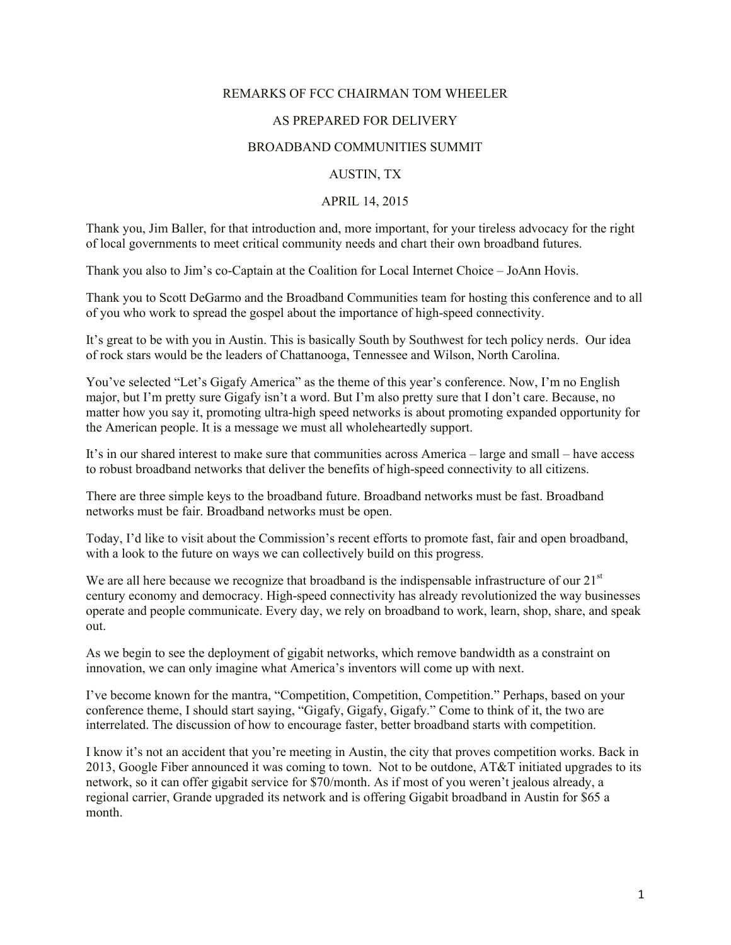# REMARKS OF FCC CHAIRMAN TOM WHEELER

# AS PREPARED FOR DELIVERY

#### BROADBAND COMMUNITIES SUMMIT

## AUSTIN, TX

#### APRIL 14, 2015

Thank you, Jim Baller, for that introduction and, more important, for your tireless advocacy for the right of local governments to meet critical community needs and chart their own broadband futures.

Thank you also to Jim's co-Captain at the Coalition for Local Internet Choice – JoAnn Hovis.

Thank you to Scott DeGarmo and the Broadband Communities team for hosting this conference and to all of you who work to spread the gospel about the importance of high-speed connectivity.

It's great to be with you in Austin. This is basically South by Southwest for tech policy nerds. Our idea of rock stars would be the leaders of Chattanooga, Tennessee and Wilson, North Carolina.

You've selected "Let's Gigafy America" as the theme of this year's conference. Now, I'm no English major, but I'm pretty sure Gigafy isn't a word. But I'm also pretty sure that I don't care. Because, no matter how you say it, promoting ultra-high speed networks is about promoting expanded opportunity for the American people. It is a message we must all wholeheartedly support.

It's in our shared interest to make sure that communities across America – large and small – have access to robust broadband networks that deliver the benefits of high-speed connectivity to all citizens.

There are three simple keys to the broadband future. Broadband networks must be fast. Broadband networks must be fair. Broadband networks must be open.

Today, I'd like to visit about the Commission's recent efforts to promote fast, fair and open broadband, with a look to the future on ways we can collectively build on this progress.

We are all here because we recognize that broadband is the indispensable infrastructure of our  $21<sup>st</sup>$ century economy and democracy. High-speed connectivity has already revolutionized the way businesses operate and people communicate. Every day, we rely on broadband to work, learn, shop, share, and speak out.

As we begin to see the deployment of gigabit networks, which remove bandwidth as a constraint on innovation, we can only imagine what America's inventors will come up with next.

I've become known for the mantra, "Competition, Competition, Competition." Perhaps, based on your conference theme, I should start saying, "Gigafy, Gigafy, Gigafy." Come to think of it, the two are interrelated. The discussion of how to encourage faster, better broadband starts with competition.

I know it's not an accident that you're meeting in Austin, the city that proves competition works. Back in 2013, Google Fiber announced it was coming to town. Not to be outdone, AT&T initiated upgrades to its network, so it can offer gigabit service for \$70/month. As if most of you weren't jealous already, a regional carrier, Grande upgraded its network and is offering Gigabit broadband in Austin for \$65 a month.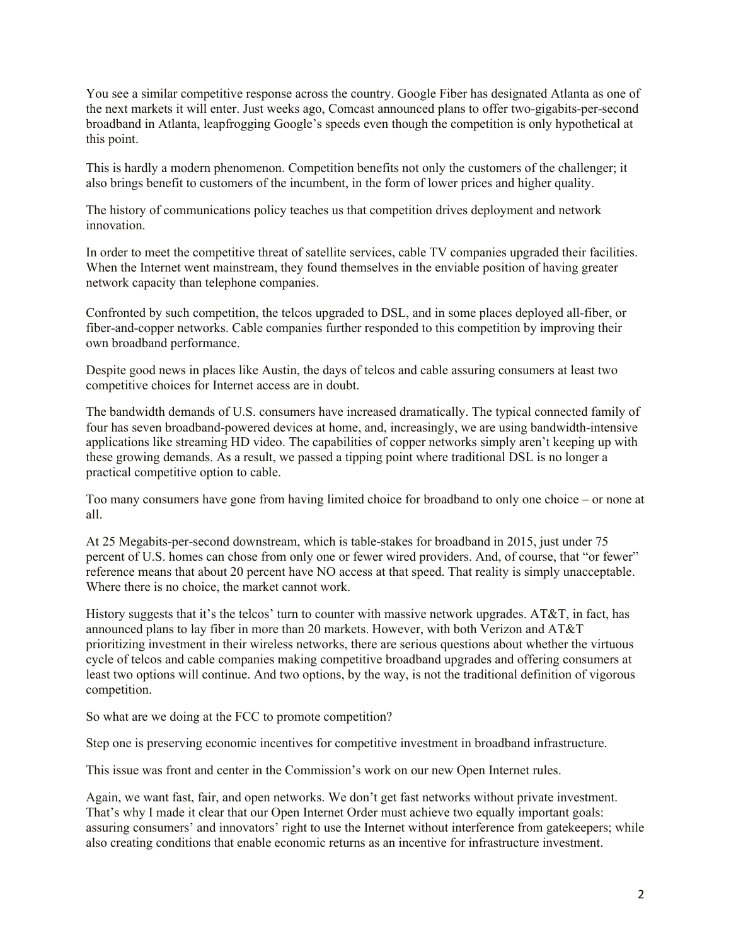You see a similar competitive response across the country. Google Fiber has designated Atlanta as one of the next markets it will enter. Just weeks ago, Comcast announced plans to offer two-gigabits-per-second broadband in Atlanta, leapfrogging Google's speeds even though the competition is only hypothetical at this point.

This is hardly a modern phenomenon. Competition benefits not only the customers of the challenger; it also brings benefit to customers of the incumbent, in the form of lower prices and higher quality.

The history of communications policy teaches us that competition drives deployment and network innovation.

In order to meet the competitive threat of satellite services, cable TV companies upgraded their facilities. When the Internet went mainstream, they found themselves in the enviable position of having greater network capacity than telephone companies.

Confronted by such competition, the telcos upgraded to DSL, and in some places deployed all-fiber, or fiber-and-copper networks. Cable companies further responded to this competition by improving their own broadband performance.

Despite good news in places like Austin, the days of telcos and cable assuring consumers at least two competitive choices for Internet access are in doubt.

The bandwidth demands of U.S. consumers have increased dramatically. The typical connected family of four has seven broadband-powered devices at home, and, increasingly, we are using bandwidth-intensive applications like streaming HD video. The capabilities of copper networks simply aren't keeping up with these growing demands. As a result, we passed a tipping point where traditional DSL is no longer a practical competitive option to cable.

Too many consumers have gone from having limited choice for broadband to only one choice – or none at all.

At 25 Megabits-per-second downstream, which is table-stakes for broadband in 2015, just under 75 percent of U.S. homes can chose from only one or fewer wired providers. And, of course, that "or fewer" reference means that about 20 percent have NO access at that speed. That reality is simply unacceptable. Where there is no choice, the market cannot work.

History suggests that it's the telcos' turn to counter with massive network upgrades. AT&T, in fact, has announced plans to lay fiber in more than 20 markets. However, with both Verizon and AT&T prioritizing investment in their wireless networks, there are serious questions about whether the virtuous cycle of telcos and cable companies making competitive broadband upgrades and offering consumers at least two options will continue. And two options, by the way, is not the traditional definition of vigorous competition.

So what are we doing at the FCC to promote competition?

Step one is preserving economic incentives for competitive investment in broadband infrastructure.

This issue was front and center in the Commission's work on our new Open Internet rules.

Again, we want fast, fair, and open networks. We don't get fast networks without private investment. That's why I made it clear that our Open Internet Order must achieve two equally important goals: assuring consumers' and innovators' right to use the Internet without interference from gatekeepers; while also creating conditions that enable economic returns as an incentive for infrastructure investment.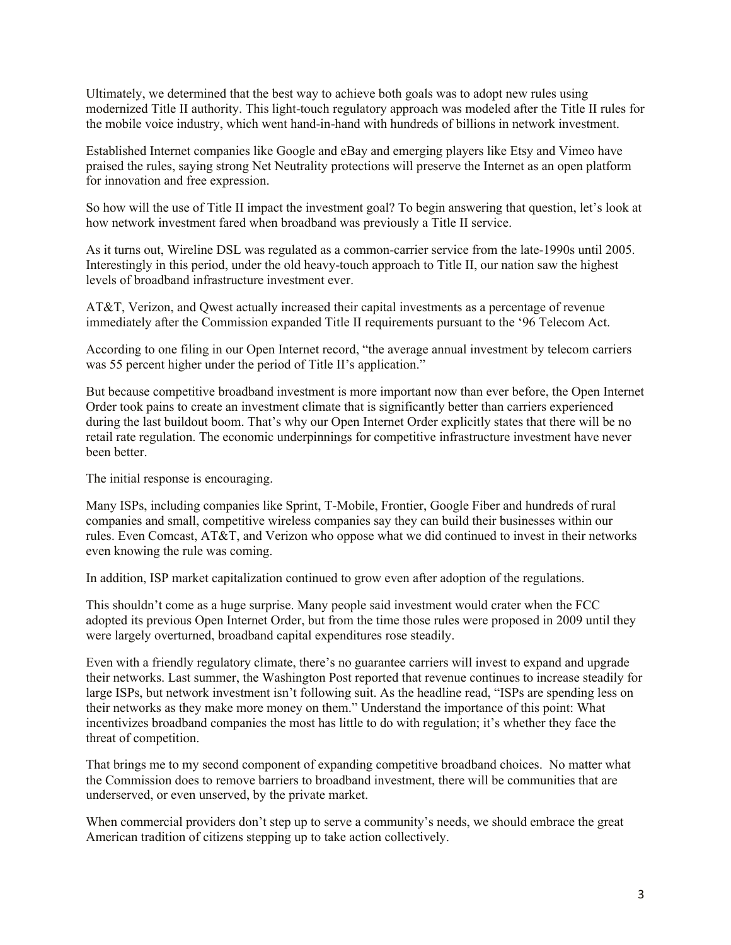Ultimately, we determined that the best way to achieve both goals was to adopt new rules using modernized Title II authority. This light-touch regulatory approach was modeled after the Title II rules for the mobile voice industry, which went hand-in-hand with hundreds of billions in network investment.

Established Internet companies like Google and eBay and emerging players like Etsy and Vimeo have praised the rules, saying strong Net Neutrality protections will preserve the Internet as an open platform for innovation and free expression.

So how will the use of Title II impact the investment goal? To begin answering that question, let's look at how network investment fared when broadband was previously a Title II service.

As it turns out, Wireline DSL was regulated as a common-carrier service from the late-1990s until 2005. Interestingly in this period, under the old heavy-touch approach to Title II, our nation saw the highest levels of broadband infrastructure investment ever.

AT&T, Verizon, and Qwest actually increased their capital investments as a percentage of revenue immediately after the Commission expanded Title II requirements pursuant to the '96 Telecom Act.

According to one filing in our Open Internet record, "the average annual investment by telecom carriers was 55 percent higher under the period of Title II's application."

But because competitive broadband investment is more important now than ever before, the Open Internet Order took pains to create an investment climate that is significantly better than carriers experienced during the last buildout boom. That's why our Open Internet Order explicitly states that there will be no retail rate regulation. The economic underpinnings for competitive infrastructure investment have never been better.

The initial response is encouraging.

Many ISPs, including companies like Sprint, T-Mobile, Frontier, Google Fiber and hundreds of rural companies and small, competitive wireless companies say they can build their businesses within our rules. Even Comcast, AT&T, and Verizon who oppose what we did continued to invest in their networks even knowing the rule was coming.

In addition, ISP market capitalization continued to grow even after adoption of the regulations.

This shouldn't come as a huge surprise. Many people said investment would crater when the FCC adopted its previous Open Internet Order, but from the time those rules were proposed in 2009 until they were largely overturned, broadband capital expenditures rose steadily.

Even with a friendly regulatory climate, there's no guarantee carriers will invest to expand and upgrade their networks. Last summer, the Washington Post reported that revenue continues to increase steadily for large ISPs, but network investment isn't following suit. As the headline read, "ISPs are spending less on their networks as they make more money on them." Understand the importance of this point: What incentivizes broadband companies the most has little to do with regulation; it's whether they face the threat of competition.

That brings me to my second component of expanding competitive broadband choices. No matter what the Commission does to remove barriers to broadband investment, there will be communities that are underserved, or even unserved, by the private market.

When commercial providers don't step up to serve a community's needs, we should embrace the great American tradition of citizens stepping up to take action collectively.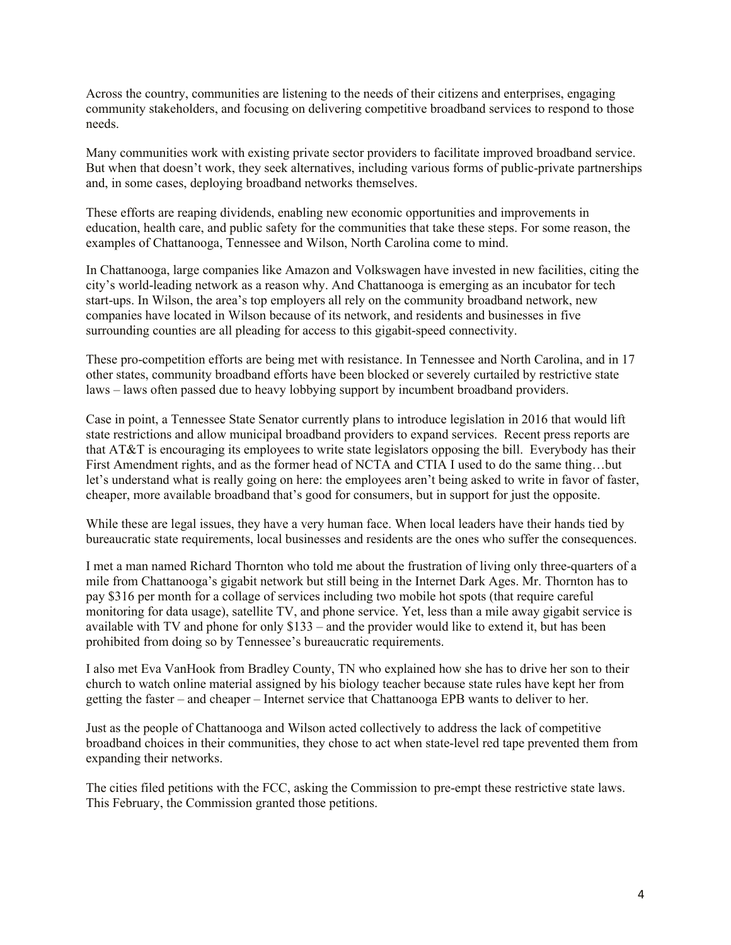Across the country, communities are listening to the needs of their citizens and enterprises, engaging community stakeholders, and focusing on delivering competitive broadband services to respond to those needs.

Many communities work with existing private sector providers to facilitate improved broadband service. But when that doesn't work, they seek alternatives, including various forms of public-private partnerships and, in some cases, deploying broadband networks themselves.

These efforts are reaping dividends, enabling new economic opportunities and improvements in education, health care, and public safety for the communities that take these steps. For some reason, the examples of Chattanooga, Tennessee and Wilson, North Carolina come to mind.

In Chattanooga, large companies like Amazon and Volkswagen have invested in new facilities, citing the city's world-leading network as a reason why. And Chattanooga is emerging as an incubator for tech start-ups. In Wilson, the area's top employers all rely on the community broadband network, new companies have located in Wilson because of its network, and residents and businesses in five surrounding counties are all pleading for access to this gigabit-speed connectivity.

These pro-competition efforts are being met with resistance. In Tennessee and North Carolina, and in 17 other states, community broadband efforts have been blocked or severely curtailed by restrictive state laws – laws often passed due to heavy lobbying support by incumbent broadband providers.

Case in point, a Tennessee State Senator currently plans to introduce legislation in 2016 that would lift state restrictions and allow municipal broadband providers to expand services. Recent press reports are that AT&T is encouraging its employees to write state legislators opposing the bill. Everybody has their First Amendment rights, and as the former head of NCTA and CTIA I used to do the same thing…but let's understand what is really going on here: the employees aren't being asked to write in favor of faster, cheaper, more available broadband that's good for consumers, but in support for just the opposite.

While these are legal issues, they have a very human face. When local leaders have their hands tied by bureaucratic state requirements, local businesses and residents are the ones who suffer the consequences.

I met a man named Richard Thornton who told me about the frustration of living only three-quarters of a mile from Chattanooga's gigabit network but still being in the Internet Dark Ages. Mr. Thornton has to pay \$316 per month for a collage of services including two mobile hot spots (that require careful monitoring for data usage), satellite TV, and phone service. Yet, less than a mile away gigabit service is available with TV and phone for only \$133 – and the provider would like to extend it, but has been prohibited from doing so by Tennessee's bureaucratic requirements.

I also met Eva VanHook from Bradley County, TN who explained how she has to drive her son to their church to watch online material assigned by his biology teacher because state rules have kept her from getting the faster – and cheaper – Internet service that Chattanooga EPB wants to deliver to her.

Just as the people of Chattanooga and Wilson acted collectively to address the lack of competitive broadband choices in their communities, they chose to act when state-level red tape prevented them from expanding their networks.

The cities filed petitions with the FCC, asking the Commission to pre-empt these restrictive state laws. This February, the Commission granted those petitions.